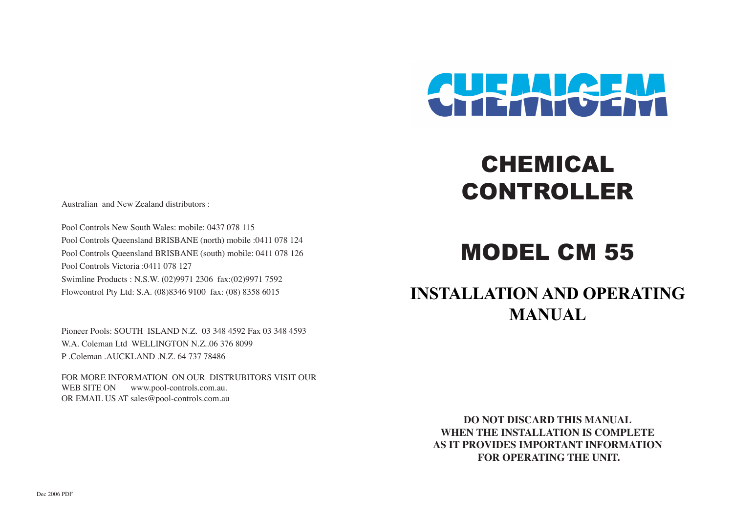

CHEMICAL

CONTROLLER

#### Australian and New Zealand distributors :

Pool Controls New South Wales: mobile: 0437 078 115 Pool Controls Queensland BRISBANE (north) mobile :0411 078 124 Pool Controls Queensland BRISBANE (south) mobile: 0411 078 126 Pool Controls Victoria :0411 078 127 Swimline Products : N.S.W. (02)9971 2306 fax:(02)9971 7592 Flowcontrol Pty Ltd: S.A. (08)8346 9100 fax: (08) 8358 6015

Pioneer Pools: SOUTH ISLAND N.Z. 03 348 4592 Fax 03 348 4593 W.A. Coleman Ltd WELLINGTON N.Z..06 376 8099 P .Coleman .AUCKLAND .N.Z. 64 737 78486

FOR MORE INFORMATION ON OUR DISTRUBITORS VISIT OUR WEB SITE ON www.pool-controls.com.au. OR EMAIL US AT sales@pool-controls.com.au

# MODEL CM 55

## **INSTALLATION AND OPERATING MANUAL**

**DO NOT DISCARD THIS MANUAL WHEN THE INSTALLATION IS COMPLETE AS IT PROVIDES IMPORTANT INFORMATION FOR OPERATING THE UNIT.**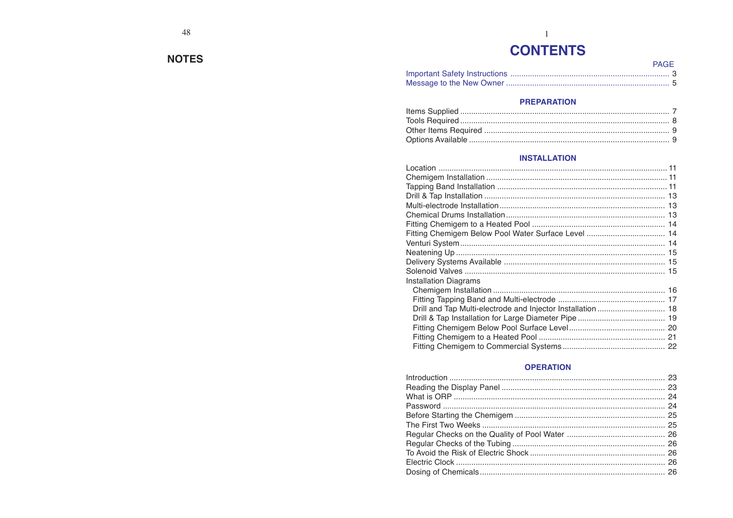#### **NOTES**

### $\overline{1}$ **CONTENTS**

| PAGF |  |
|------|--|
|      |  |
|      |  |

#### **PREPARATION**

#### **INSTALLATION**

| Installation Diagrams |  |
|-----------------------|--|
|                       |  |
|                       |  |
|                       |  |
|                       |  |
|                       |  |
|                       |  |
|                       |  |

#### **OPERATION**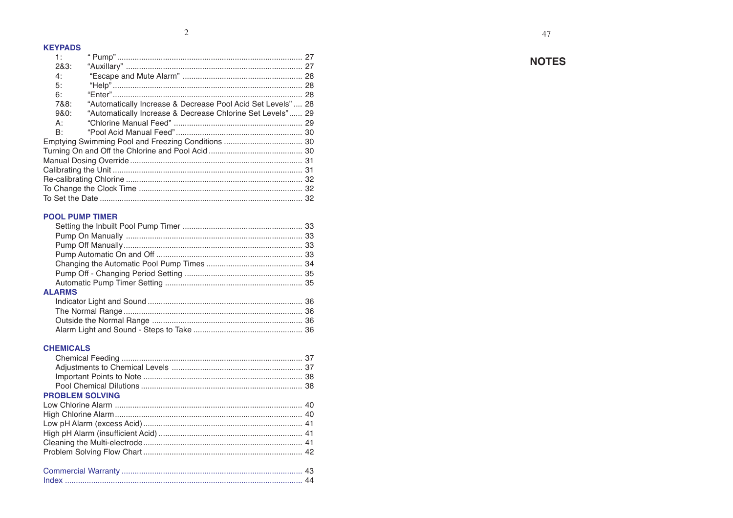#### **KEYPADS**

| 1:   |                                                             | 27 |  |  |
|------|-------------------------------------------------------------|----|--|--|
| 283: |                                                             |    |  |  |
| 4:   |                                                             |    |  |  |
| 5:   |                                                             |    |  |  |
| 6:   |                                                             |    |  |  |
| 7&8: | "Automatically Increase & Decrease Pool Acid Set Levels" 28 |    |  |  |
| 980: | "Automatically Increase & Decrease Chlorine Set Levels" 29  |    |  |  |
| A:   |                                                             |    |  |  |
| B:   |                                                             |    |  |  |
|      |                                                             |    |  |  |
|      |                                                             |    |  |  |
|      |                                                             |    |  |  |
|      |                                                             |    |  |  |
|      |                                                             |    |  |  |
|      |                                                             |    |  |  |
|      |                                                             |    |  |  |
|      |                                                             |    |  |  |

#### **POOL PUMP TIMER**

| <b>ALARMS</b> |  |
|---------------|--|
|               |  |
|               |  |
|               |  |
|               |  |

#### **CHEMICALS**

| <b>PROBLEM SOLVING</b>                     |            |
|--------------------------------------------|------------|
|                                            |            |
|                                            |            |
|                                            |            |
|                                            |            |
|                                            |            |
|                                            |            |
| $C$ a management of $M$ and $\mathbb{R}$ . | $\sqrt{2}$ |

#### **NOTES**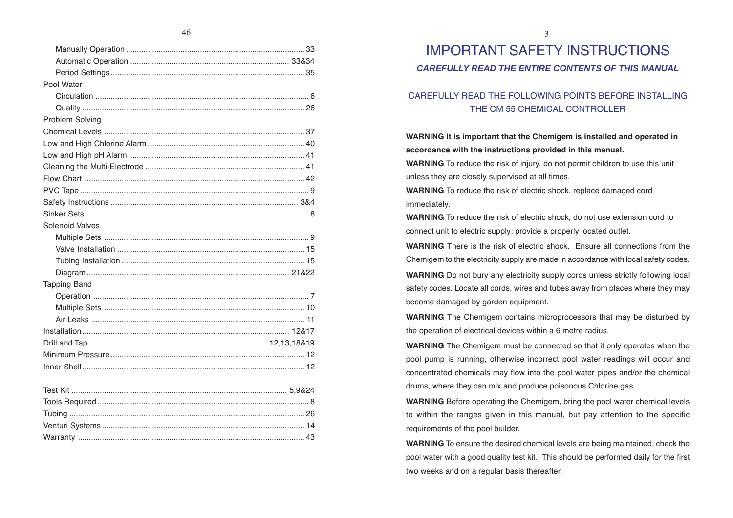| Pool Water             |  |
|------------------------|--|
|                        |  |
|                        |  |
| Problem Solving        |  |
|                        |  |
|                        |  |
|                        |  |
|                        |  |
|                        |  |
|                        |  |
|                        |  |
|                        |  |
| <b>Solenoid Valves</b> |  |
|                        |  |
|                        |  |
|                        |  |
|                        |  |
| <b>Tapping Band</b>    |  |
|                        |  |
|                        |  |
|                        |  |
|                        |  |
|                        |  |
|                        |  |
|                        |  |
|                        |  |
|                        |  |
|                        |  |
|                        |  |
|                        |  |
|                        |  |

### IMPORTANT SAFETY INSTRUCTIONS

#### *CAREFULLY READ THE ENTIRE CONTENTS OF THIS MANUAL*

#### CAREFULLY READ THE FOLLOWING POINTS BEFORE INSTALLING THE CM 55 CHEMICAL CONTROLLER

#### **WARNING It is important that the Chemigem is installed and operated in accordance with the instructions provided in this manual.**

**WARNING** To reduce the risk of injury, do not permit children to use this unit unless they are closely supervised at all times.

**WARNING** To reduce the risk of electric shock, replace damaged cord immediately.

**WARNING** To reduce the risk of electric shock, do not use extension cord to connect unit to electric supply; provide a properly located outlet.

**WARNING** There is the risk of electric shock. Ensure all connections from the Chemigem to the electricity supply are made in accordance with local safety codes.

**WARNING** Do not bury any electricity supply cords unless strictly following local safety codes. Locate all cords, wires and tubes away from places where they may become damaged by garden equipment.

**WARNING** The Chemigem contains microprocessors that may be disturbed by the operation of electrical devices within a 6 metre radius.

**WARNING** The Chemigem must be connected so that it only operates when the pool pump is running, otherwise incorrect pool water readings will occur and concentrated chemicals may flow into the pool water pipes and/or the chemical drums, where they can mix and produce poisonous Chlorine gas.

**WARNING** Before operating the Chemigem, bring the pool water chemical levels to within the ranges given in this manual, but pay attention to the specific requirements of the pool builder.

**WARNING** To ensure the desired chemical levels are being maintained, check the pool water with a good quality test kit. This should be performed daily for the first two weeks and on a regular basis thereafter.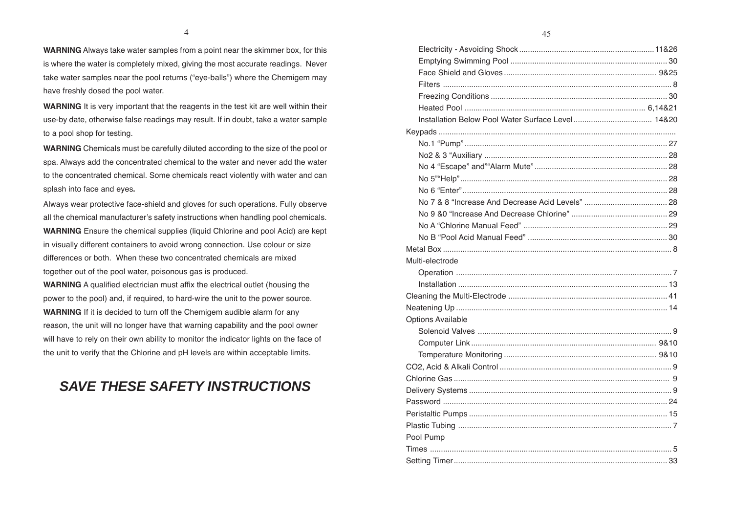**WARNING** Always take water samples from a point near the skimmer box, for this is where the water is completely mixed, giving the most accurate readings. Never take water samples near the pool returns ("eye-balls") where the Chemigem may have freshly dosed the pool water.

**WARNING** It is very important that the reagents in the test kit are well within their use-by date, otherwise false readings may result. If in doubt, take a water sample to a pool shop for testing.

**WARNING** Chemicals must be carefully diluted according to the size of the pool or spa. Always add the concentrated chemical to the water and never add the water to the concentrated chemical. Some chemicals react violently with water and can splash into face and eyes**.**

Always wear protective face-shield and gloves for such operations. Fully observe all the chemical manufacturer's safety instructions when handling pool chemicals. **WARNING** Ensure the chemical supplies (liquid Chlorine and pool Acid) are kept in visually different containers to avoid wrong connection. Use colour or size differences or both. When these two concentrated chemicals are mixed together out of the pool water, poisonous gas is produced.

**WARNING** A qualified electrician must affix the electrical outlet (housing the power to the pool) and, if required, to hard-wire the unit to the power source. **WARNING** If it is decided to turn off the Chemigem audible alarm for any reason, the unit will no longer have that warning capability and the pool owner will have to rely on their own ability to monitor the indicator lights on the face of the unit to verify that the Chlorine and pH levels are within acceptable limits.

### *SAVE THESE SAFETY INSTRUCTIONS*

| Multi-electrode          |  |
|--------------------------|--|
|                          |  |
|                          |  |
|                          |  |
|                          |  |
| <b>Options Available</b> |  |
|                          |  |
|                          |  |
|                          |  |
|                          |  |
|                          |  |
|                          |  |
|                          |  |
|                          |  |
|                          |  |
| Pool Pump                |  |
|                          |  |
|                          |  |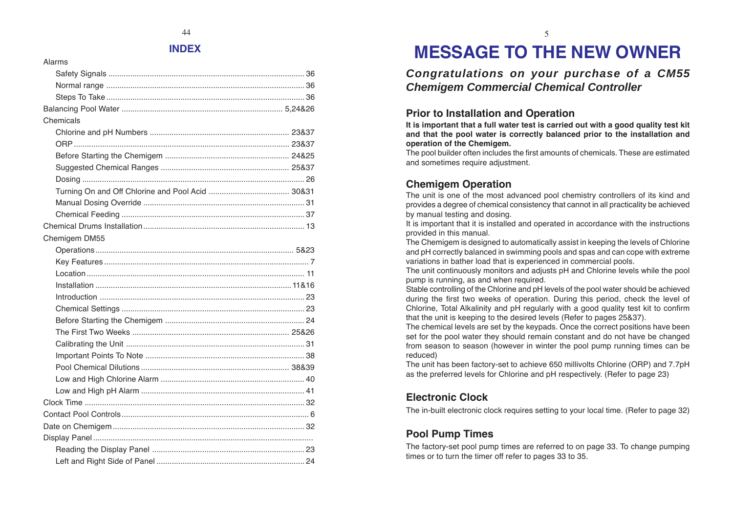#### **INDEX**

Alarms

| Chemicals     |  |
|---------------|--|
|               |  |
|               |  |
|               |  |
|               |  |
|               |  |
|               |  |
|               |  |
|               |  |
|               |  |
| Chemigem DM55 |  |
|               |  |
|               |  |
|               |  |
|               |  |
|               |  |
|               |  |
|               |  |
|               |  |
|               |  |
|               |  |
|               |  |
|               |  |
|               |  |
|               |  |
|               |  |
|               |  |
|               |  |
|               |  |
|               |  |
|               |  |

# **MESSAGE TO THE NEW OWNER**

### *Congratulations on your purchase of a CM55 Chemigem Commercial Chemical Controller*

#### **Prior to Installation and Operation**

**It is important that a full water test is carried out with a good quality test kit and that the pool water is correctly balanced prior to the installation and operation of the Chemigem.**

The pool builder often includes the first amounts of chemicals. These are estimated and sometimes require adjustment.

### **Chemigem Operation**

The unit is one of the most advanced pool chemistry controllers of its kind and provides a degree of chemical consistency that cannot in all practicality be achieved by manual testing and dosing.

It is important that it is installed and operated in accordance with the instructions provided in this manual.

The Chemigem is designed to automatically assist in keeping the levels of Chlorine and pH correctly balanced in swimming pools and spas and can cope with extreme variations in bather load that is experienced in commercial pools.

The unit continuously monitors and adjusts pH and Chlorine levels while the pool pump is running, as and when required.

Stable controlling of the Chlorine and pH levels of the pool water should be achieved during the first two weeks of operation. During this period, check the level of Chlorine, Total Alkalinity and pH regularly with a good quality test kit to confirm that the unit is keeping to the desired levels (Refer to pages 25&37).

The chemical levels are set by the keypads. Once the correct positions have been set for the pool water they should remain constant and do not have be changed from season to season (however in winter the pool pump running times can be reduced)

The unit has been factory-set to achieve 650 millivolts Chlorine (ORP) and 7.7pH as the preferred levels for Chlorine and pH respectively. (Refer to page 23)

### **Electronic Clock**

The in-built electronic clock requires setting to your local time. (Refer to page 32)

### **Pool Pump Times**

The factory-set pool pump times are referred to on page 33. To change pumping times or to turn the timer off refer to pages 33 to 35.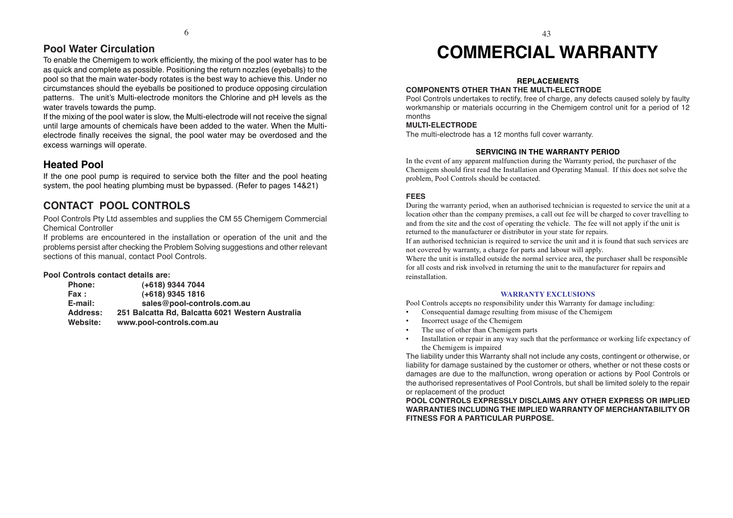#### **Pool Water Circulation**

To enable the Chemigem to work efficiently, the mixing of the pool water has to be as quick and complete as possible. Positioning the return nozzles (eyeballs) to the pool so that the main water-body rotates is the best way to achieve this. Under no circumstances should the eyeballs be positioned to produce opposing circulation patterns. The unit's Multi-electrode monitors the Chlorine and pH levels as the water travels towards the pump.

If the mixing of the pool water is slow, the Multi-electrode will not receive the signal until large amounts of chemicals have been added to the water. When the Multielectrode finally receives the signal, the pool water may be overdosed and the excess warnings will operate.

#### **Heated Pool**

If the one pool pump is required to service both the filter and the pool heating system, the pool heating plumbing must be bypassed. (Refer to pages 14&21)

### **CONTACT POOL CONTROLS**

Pool Controls Pty Ltd assembles and supplies the CM 55 Chemigem Commercial Chemical Controller

If problems are encountered in the installation or operation of the unit and the problems persist after checking the Problem Solving suggestions and other relevant sections of this manual, contact Pool Controls.

#### **Pool Controls contact details are:**

| <b>Phone:</b> | (+618) 9344 7044                                 |
|---------------|--------------------------------------------------|
| Fax:          | $(+618)$ 9345 1816                               |
| $E$ -mail:    | sales@pool-controls.com.au                       |
| Address:      | 251 Balcatta Rd, Balcatta 6021 Western Australia |
| Website:      | www.pool-controls.com.au                         |

# **COMMERCIAL WARRANTY**

#### **REPLACEMENTS**

#### **COMPONENTS OTHER THAN THE MULTI-ELECTRODE**

Pool Controls undertakes to rectify, free of charge, any defects caused solely by faulty workmanship or materials occurring in the Chemigem control unit for a period of 12 months

#### **MULTI-ELECTRODE**

The multi-electrode has a 12 months full cover warranty.

#### **SERVICING IN THE WARRANTY PERIOD**

In the event of any apparent malfunction during the Warranty period, the purchaser of the Chemigem should first read the Installation and Operating Manual. If this does not solve the problem, Pool Controls should be contacted.

#### **FEES**

During the warranty period, when an authorised technician is requested to service the unit at a location other than the company premises, a call out fee will be charged to cover travelling to and from the site and the cost of operating the vehicle. The fee will not apply if the unit is returned to the manufacturer or distributor in your state for repairs.

If an authorised technician is required to service the unit and it is found that such services are not covered by warranty, a charge for parts and labour will apply.

Where the unit is installed outside the normal service area, the purchaser shall be responsible for all costs and risk involved in returning the unit to the manufacturer for repairs and reinstallation.

#### **WARRANTY EXCLUSIONS**

Pool Controls accepts no responsibility under this Warranty for damage including:

- •Consequential damage resulting from misuse of the Chemigem
- •Incorrect usage of the Chemigem
- •The use of other than Chemigem parts
- • Installation or repair in any way such that the performance or working life expectancy of the Chemigem is impaired

The liability under this Warranty shall not include any costs, contingent or otherwise, or liability for damage sustained by the customer or others, whether or not these costs or damages are due to the malfunction, wrong operation or actions by Pool Controls or the authorised representatives of Pool Controls, but shall be limited solely to the repair or replacement of the product

**POOL CONTROLS EXPRESSLY DISCLAIMS ANY OTHER EXPRESS OR IMPLIED WARRANTIES INCLUDING THE IMPLIED WARRANTY OF MERCHANTABILITY OR FITNESS FOR A PARTICULAR PURPOSE.**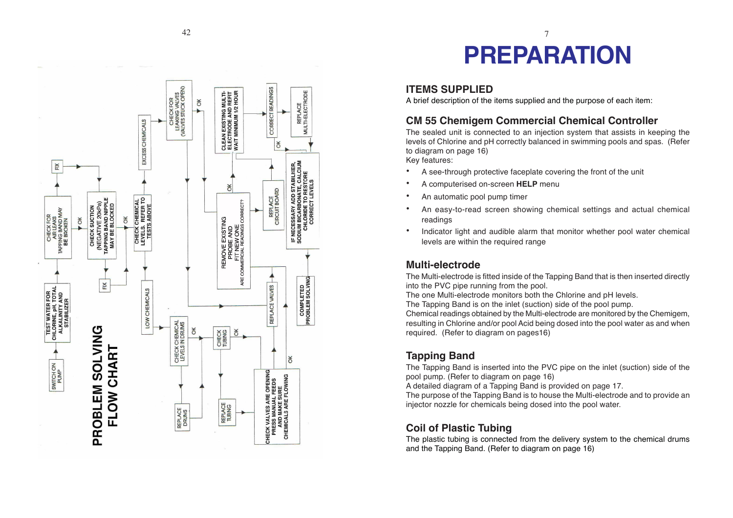

## $42$   $7$ **PREPARATION**

#### **ITEMS SUPPLIED**

A brief description of the items supplied and the purpose of each item:

#### **CM 55 Chemigem Commercial Chemical Controller**

The sealed unit is connected to an injection system that assists in keeping the levels of Chlorine and pH correctly balanced in swimming pools and spas. (Refer to diagram on page 16)

Key features:

- •A see-through protective faceplate covering the front of the unit
- •A computerised on-screen **HELP** menu
- •An automatic pool pump timer
- • An easy-to-read screen showing chemical settings and actual chemical readings
- • Indicator light and audible alarm that monitor whether pool water chemical levels are within the required range

#### **Multi-electrode**

The Multi-electrode is fitted inside of the Tapping Band that is then inserted directly into the PVC pipe running from the pool.

The one Multi-electrode monitors both the Chlorine and pH levels.

The Tapping Band is on the inlet (suction) side of the pool pump.

Chemical readings obtained by the Multi-electrode are monitored by the Chemigem, resulting in Chlorine and/or pool Acid being dosed into the pool water as and when required. (Refer to diagram on pages16)

### **Tapping Band**

The Tapping Band is inserted into the PVC pipe on the inlet (suction) side of the pool pump. (Refer to diagram on page 16)

A detailed diagram of a Tapping Band is provided on page 17.

The purpose of the Tapping Band is to house the Multi-electrode and to provide an injector nozzle for chemicals being dosed into the pool water.

#### **Coil of Plastic Tubing**

The plastic tubing is connected from the delivery system to the chemical drums and the Tapping Band. (Refer to diagram on page 16)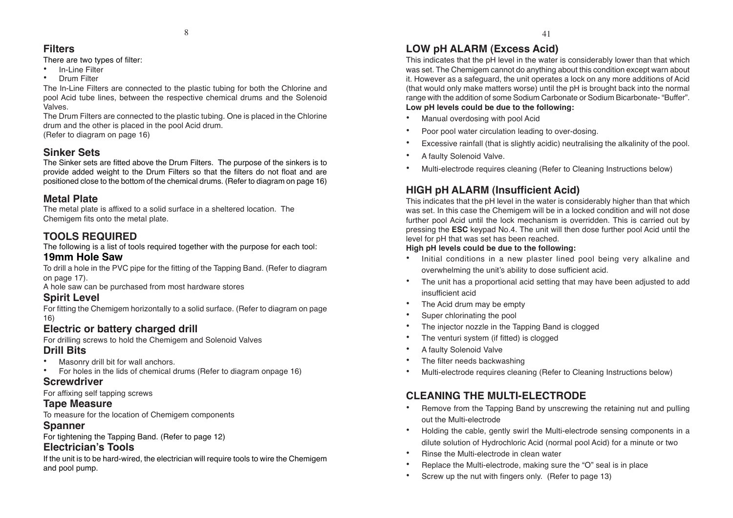#### **Filters**

There are two types of filter:

- •In-Line Filter
- •Drum Filter

The In-Line Filters are connected to the plastic tubing for both the Chlorine and pool Acid tube lines, between the respective chemical drums and the Solenoid Valves.

The Drum Filters are connected to the plastic tubing. One is placed in the Chlorine drum and the other is placed in the pool Acid drum. (Refer to diagram on page 16)

### **Sinker Sets**

The Sinker sets are fitted above the Drum Filters. The purpose of the sinkers is to provide added weight to the Drum Filters so that the filters do not float and are positioned close to the bottom of the chemical drums. (Refer to diagram on page 16)

### **Metal Plate**

The metal plate is affixed to a solid surface in a sheltered location. The Chemigem fits onto the metal plate.

### **TOOLS REQUIRED**

The following is a list of tools required together with the purpose for each tool:

#### **19mm Hole Saw**

To drill a hole in the PVC pipe for the fitting of the Tapping Band. (Refer to diagram on page 17).

A hole saw can be purchased from most hardware stores

### **Spirit Level**

For fitting the Chemigem horizontally to a solid surface. (Refer to diagram on page 16)

### **Electric or battery charged drill**

For drilling screws to hold the Chemigem and Solenoid Valves

### **Drill Bits**

- •Masonry drill bit for wall anchors.
- •For holes in the lids of chemical drums (Refer to diagram onpage 16)

### **Screwdriver**

For affixing self tapping screws

### **Tape Measure**

To measure for the location of Chemigem components

### **Spanner**

For tightening the Tapping Band. (Refer to page 12)

### **Electrician's Tools**

If the unit is to be hard-wired, the electrician will require tools to wire the Chemigem and pool pump.

### **LOW pH ALARM (Excess Acid)**

This indicates that the pH level in the water is considerably lower than that which was set. The Chemigem cannot do anything about this condition except warn about it. However as a safeguard, the unit operates a lock on any more additions of Acid (that would only make matters worse) until the pH is brought back into the normal range with the addition of some Sodium Carbonate or Sodium Bicarbonate- "Buffer". **Low pH levels could be due to the following:**

#### •Manual overdosing with pool Acid

- •Poor pool water circulation leading to over-dosing.
- •Excessive rainfall (that is slightly acidic) neutralising the alkalinity of the pool.
- •A faulty Solenoid Valve.
- •Multi-electrode requires cleaning (Refer to Cleaning Instructions below)

### **HIGH pH ALARM (Insufficient Acid)**

This indicates that the pH level in the water is considerably higher than that which was set. In this case the Chemigem will be in a locked condition and will not dose further pool Acid until the lock mechanism is overridden. This is carried out by pressing the **ESC** keypad No.4. The unit will then dose further pool Acid until the level for pH that was set has been reached.

#### **High pH levels could be due to the following:**

- • Initial conditions in a new plaster lined pool being very alkaline and overwhelming the unit's ability to dose sufficient acid.
- • The unit has a proportional acid setting that may have been adjusted to add insufficient acid
- •The Acid drum may be empty
- •Super chlorinating the pool
- •The injector nozzle in the Tapping Band is clogged
- •The venturi system (if fitted) is clogged
- •A faulty Solenoid Valve
- •The filter needs backwashing
- •Multi-electrode requires cleaning (Refer to Cleaning Instructions below)

### **CLEANING THE MULTI-ELECTRODE**

- • Remove from the Tapping Band by unscrewing the retaining nut and pulling out the Multi-electrode
- • Holding the cable, gently swirl the Multi-electrode sensing components in a dilute solution of Hydrochloric Acid (normal pool Acid) for a minute or two
- •Rinse the Multi-electrode in clean water
- •Replace the Multi-electrode, making sure the "O" seal is in place
- •Screw up the nut with fingers only. (Refer to page 13)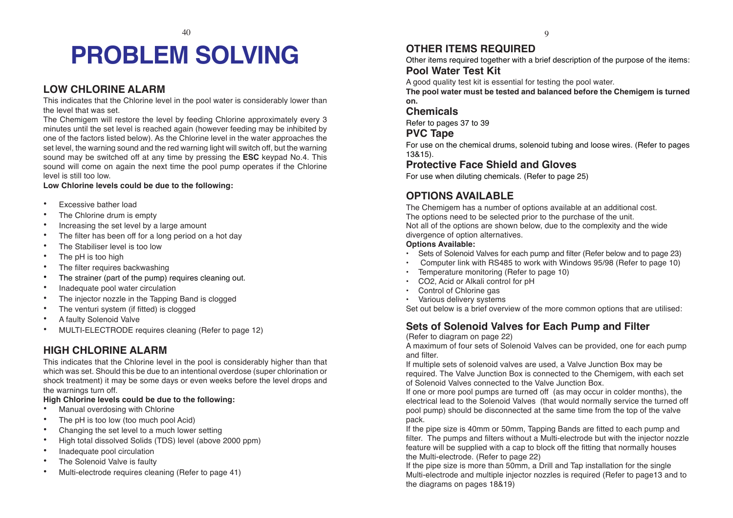# **PROBLEM SOLVING**

#### **LOW CHLORINE ALARM**

This indicates that the Chlorine level in the pool water is considerably lower than the level that was set.

The Chemigem will restore the level by feeding Chlorine approximately every 3 minutes until the set level is reached again (however feeding may be inhibited by one of the factors listed below). As the Chlorine level in the water approaches the set level, the warning sound and the red warning light will switch off, but the warning sound may be switched off at any time by pressing the **ESC** keypad No.4. This sound will come on again the next time the pool pump operates if the Chlorine level is still too low.

**Low Chlorine levels could be due to the following:**

- •Excessive bather load
- •The Chlorine drum is empty
- •Increasing the set level by a large amount
- •The filter has been off for a long period on a hot day
- •The Stabiliser level is too low
- •The pH is too high
- •The filter requires backwashing
- •The strainer (part of the pump) requires cleaning out.
- •Inadequate pool water circulation
- •The injector nozzle in the Tapping Band is clogged
- •The venturi system (if fitted) is clogged
- •A faulty Solenoid Valve
- •MULTI-ELECTRODE requires cleaning (Refer to page 12)

#### **HIGH CHLORINE ALARM**

This indicates that the Chlorine level in the pool is considerably higher than that which was set. Should this be due to an intentional overdose (super chlorination or shock treatment) it may be some days or even weeks before the level drops and the warnings turn off.

#### **High Chlorine levels could be due to the following:**

- •Manual overdosing with Chlorine
- •The pH is too low (too much pool Acid)
- •Changing the set level to a much lower setting
- •High total dissolved Solids (TDS) level (above 2000 ppm)
- •Inadequate pool circulation
- •The Solenoid Valve is faulty
- •Multi-electrode requires cleaning (Refer to page 41)

#### **OTHER ITEMS REQUIRED**

Other items required together with a brief description of the purpose of the items: **Pool Water Test Kit**

A good quality test kit is essential for testing the pool water.

**The pool water must be tested and balanced before the Chemigem is turned on.**

#### **Chemicals**

Refer to pages 37 to 39

#### **PVC Tape**

For use on the chemical drums, solenoid tubing and loose wires. (Refer to pages 13&15).

#### **Protective Face Shield and Gloves**

For use when diluting chemicals. (Refer to page 25)

#### **OPTIONS AVAILABLE**

The Chemigem has a number of options available at an additional cost. The options need to be selected prior to the purchase of the unit. Not all of the options are shown below, due to the complexity and the wide divergence of option alternatives.

#### **Options Available:**

- •Sets of Solenoid Valves for each pump and filter (Refer below and to page 23)
- Computer link with RS485 to work with Windows 95/98 (Refer to page 10)
- •Temperature monitoring (Refer to page 10)
- •CO2, Acid or Alkali control for pH
- •Control of Chlorine gas
- Various delivery systems

Set out below is a brief overview of the more common options that are utilised:

#### **Sets of Solenoid Valves for Each Pump and Filter**

(Refer to diagram on page 22)

A maximum of four sets of Solenoid Valves can be provided, one for each pump and filter.

If multiple sets of solenoid valves are used, a Valve Junction Box may be required. The Valve Junction Box is connected to the Chemigem, with each set of Solenoid Valves connected to the Valve Junction Box.

If one or more pool pumps are turned off (as may occur in colder months), the electrical lead to the Solenoid Valves (that would normally service the turned off pool pump) should be disconnected at the same time from the top of the valve pack.

If the pipe size is 40mm or 50mm, Tapping Bands are fitted to each pump and filter. The pumps and filters without a Multi-electrode but with the injector nozzle feature will be supplied with a cap to block off the fitting that normally houses the Multi-electrode. (Refer to page 22)

If the pipe size is more than 50mm, a Drill and Tap installation for the single Multi-electrode and multiple injector nozzles is required (Refer to page13 and to the diagrams on pages 18&19)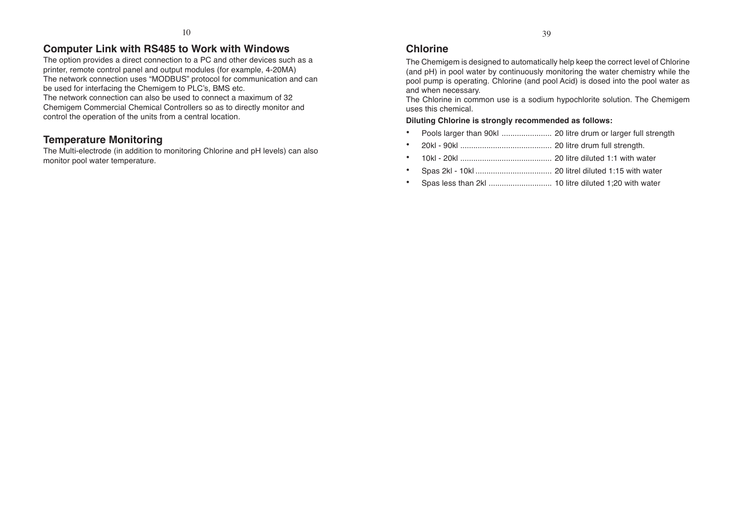### **Computer Link with RS485 to Work with Windows**

The option provides a direct connection to a PC and other devices such as a printer, remote control panel and output modules (for example, 4-20MA) The network connection uses "MODBUS" protocol for communication and can be used for interfacing the Chemigem to PLC's, BMS etc. The network connection can also be used to connect a maximum of 32

Chemigem Commercial Chemical Controllers so as to directly monitor and control the operation of the units from a central location.

### **Temperature Monitoring**

The Multi-electrode (in addition to monitoring Chlorine and pH levels) can also monitor pool water temperature.

### **Chlorine**

The Chemigem is designed to automatically help keep the correct level of Chlorine (and pH) in pool water by continuously monitoring the water chemistry while the pool pump is operating. Chlorine (and pool Acid) is dosed into the pool water as and when necessary.

The Chlorine in common use is a sodium hypochlorite solution. The Chemigem uses this chemical.

#### **Diluting Chlorine is strongly recommended as follows:**

- •Pools larger than 90kl ....................... 20 litre drum or larger full strength
- •20kl - 90kl .......................................... 20 litre drum full strength.
- •10kl - 20kl .......................................... 20 litre diluted 1:1 with water
- •Spas 2kl - 10kl ................................... 20 litrel diluted 1:15 with water
- •Spas less than 2kl ............................. 10 litre diluted 1;20 with water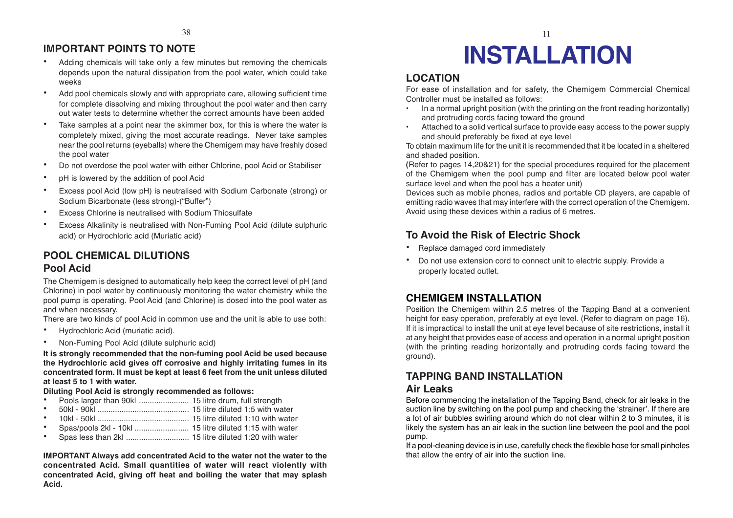#### **IMPORTANT POINTS TO NOTE**

- • Adding chemicals will take only a few minutes but removing the chemicals depends upon the natural dissipation from the pool water, which could take weeks
- • Add pool chemicals slowly and with appropriate care, allowing sufficient time for complete dissolving and mixing throughout the pool water and then carry out water tests to determine whether the correct amounts have been added
- • Take samples at a point near the skimmer box, for this is where the water is completely mixed, giving the most accurate readings. Never take samples near the pool returns (eyeballs) where the Chemigem may have freshly dosed the pool water
- •Do not overdose the pool water with either Chlorine, pool Acid or Stabiliser
- •pH is lowered by the addition of pool Acid
- • Excess pool Acid (low pH) is neutralised with Sodium Carbonate (strong) or Sodium Bicarbonate (less strong)-("Buffer")
- •Excess Chlorine is neutralised with Sodium Thiosulfate
- • Excess Alkalinity is neutralised with Non-Fuming Pool Acid (dilute sulphuric acid) or Hydrochloric acid (Muriatic acid)

#### **POOL CHEMICAL DILUTIONS Pool Acid**

The Chemigem is designed to automatically help keep the correct level of pH (and Chlorine) in pool water by continuously monitoring the water chemistry while the pool pump is operating. Pool Acid (and Chlorine) is dosed into the pool water as and when necessary.

There are two kinds of pool Acid in common use and the unit is able to use both:

- •Hydrochloric Acid (muriatic acid).
- •Non-Fuming Pool Acid (dilute sulphuric acid)

**It is strongly recommended that the non-fuming pool Acid be used because the Hydrochloric acid gives off corrosive and highly irritating fumes in its concentrated form. It must be kept at least 6 feet from the unit unless diluted at least 5 to 1 with water.**

#### **Diluting Pool Acid is strongly recommended as follows:**

- •Pools larger than 90kl ....................... 15 litre drum, full strength
- •50kl - 90kl .......................................... 15 litre diluted 1:5 with water
- •10kl - 50kl .......................................... 15 litre diluted 1:10 with water
- •Spas/pools 2kl - 10kl ......................... 15 litre diluted 1:15 with water
- •Spas less than 2kl ............................. 15 litre diluted 1:20 with water

**IMPORTANT Always add concentrated Acid to the water not the water to the concentrated Acid. Small quantities of water will react violently with concentrated Acid, giving off heat and boiling the water that may splash Acid.**

# **INSTALLATION**

#### **LOCATION**

For ease of installation and for safety, the Chemigem Commercial Chemical Controller must be installed as follows:

- • In a normal upright position (with the printing on the front reading horizontally) and protruding cords facing toward the ground
- Attached to a solid vertical surface to provide easy access to the power supply and should preferably be fixed at eye level

To obtain maximum life for the unit it is recommended that it be located in a sheltered and shaded position.

**(**Refer to pages 14,20&21) for the special procedures required for the placement of the Chemigem when the pool pump and filter are located below pool water surface level and when the pool has a heater unit)

Devices such as mobile phones, radios and portable CD players, are capable of emitting radio waves that may interfere with the correct operation of the Chemigem. Avoid using these devices within a radius of 6 metres.

#### **To Avoid the Risk of Electric Shock**

- •Replace damaged cord immediately
- • Do not use extension cord to connect unit to electric supply. Provide a properly located outlet.

#### **CHEMIGEM INSTALLATION**

Position the Chemigem within 2.5 metres of the Tapping Band at a convenient height for easy operation, preferably at eye level. (Refer to diagram on page 16). If it is impractical to install the unit at eye level because of site restrictions, install it at any height that provides ease of access and operation in a normal upright position (with the printing reading horizontally and protruding cords facing toward the ground).

#### **TAPPING BAND INSTALLATION**

#### **Air Leaks**

Before commencing the installation of the Tapping Band, check for air leaks in the suction line by switching on the pool pump and checking the 'strainer'. If there are a lot of air bubbles swirling around which do not clear within 2 to 3 minutes, it is likely the system has an air leak in the suction line between the pool and the pool pump.

If a pool-cleaning device is in use, carefully check the flexible hose for small pinholes that allow the entry of air into the suction line.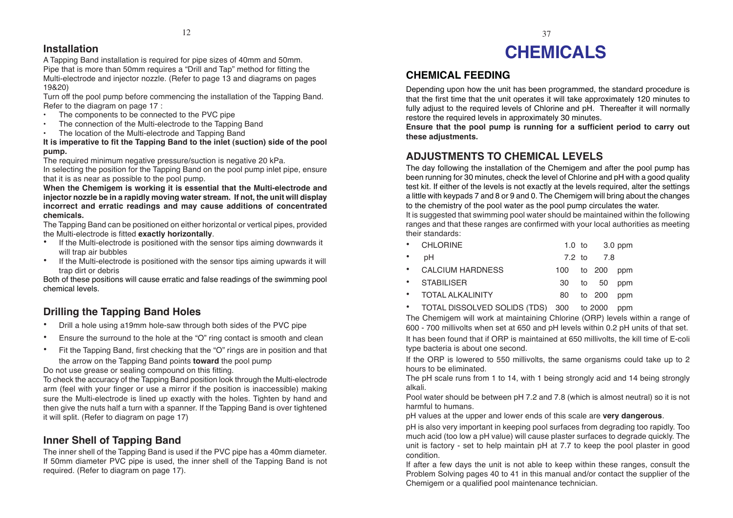#### **Installation**

A Tapping Band installation is required for pipe sizes of 40mm and 50mm. Pipe that is more than 50mm requires a "Drill and Tap" method for fitting the Multi-electrode and injector nozzle. (Refer to page 13 and diagrams on pages 19&20)

Turn off the pool pump before commencing the installation of the Tapping Band. Refer to the diagram on page 17 :

- •The components to be connected to the PVC pipe
- •The connection of the Multi-electrode to the Tapping Band
- •The location of the Multi-electrode and Tapping Band

#### **It is imperative to fit the Tapping Band to the inlet (suction) side of the pool pump.**

The required minimum negative pressure/suction is negative 20 kPa. In selecting the position for the Tapping Band on the pool pump inlet pipe, ensure that it is as near as possible to the pool pump.

**When the Chemigem is working it is essential that the Multi-electrode and injector nozzle be in a rapidly moving water stream. If not, the unit will display incorrect and erratic readings and may cause additions of concentrated chemicals.**

The Tapping Band can be positioned on either horizontal or vertical pipes, provided the Multi-electrode is fitted **exactly horizontally**.

- • If the Multi-electrode is positioned with the sensor tips aiming downwards it will trap air bubbles
- • If the Multi-electrode is positioned with the sensor tips aiming upwards it will trap dirt or debris

Both of these positions will cause erratic and false readings of the swimming pool chemical levels.

### **Drilling the Tapping Band Holes**

- •Drill a hole using a19mm hole-saw through both sides of the PVC pipe
- •Ensure the surround to the hole at the "O" ring contact is smooth and clean
- • Fit the Tapping Band, first checking that the "O" rings are in position and that the arrow on the Tapping Band points **toward** the pool pump

Do not use grease or sealing compound on this fitting.

To check the accuracy of the Tapping Band position look through the Multi-electrode arm (feel with your finger or use a mirror if the position is inaccessible) making sure the Multi-electrode is lined up exactly with the holes. Tighten by hand and then give the nuts half a turn with a spanner. If the Tapping Band is over tightened it will split. (Refer to diagram on page 17)

### **Inner Shell of Tapping Band**

The inner shell of the Tapping Band is used if the PVC pipe has a 40mm diameter. If 50mm diameter PVC pipe is used, the inner shell of the Tapping Band is not required. (Refer to diagram on page 17).

# **CHEMICALS**

### **CHEMICAL FEEDING**

Depending upon how the unit has been programmed, the standard procedure is that the first time that the unit operates it will take approximately 120 minutes to fully adjust to the required levels of Chlorine and pH. Thereafter it will normally restore the required levels in approximately 30 minutes.

**Ensure that the pool pump is running for a sufficient period to carry out these adjustments.**

### **ADJUSTMENTS TO CHEMICAL LEVELS**

The day following the installation of the Chemigem and after the pool pump has been running for 30 minutes, check the level of Chlorine and pH with a good quality test kit. If either of the levels is not exactly at the levels required, alter the settings a little with keypads 7 and 8 or 9 and 0. The Chemigem will bring about the changes to the chemistry of the pool water as the pool pump circulates the water.

It is suggested that swimming pool water should be maintained within the following ranges and that these ranges are confirmed with your local authorities as meeting their standards:

| • CHLORINE | 1.0 to 3.0 ppm |
|------------|----------------|
|            |                |

| $\cdot$ pH         |  | 7.2 to 7.8     |  |
|--------------------|--|----------------|--|
| • CALCIUM HARDNESS |  | 100 to 200 ppm |  |

| • STABILISER       |  | 30 to 50 ppm  |
|--------------------|--|---------------|
| • TOTAL ALKALINITY |  | 80 to 200 ppm |

• TOTAL DlSSOLVED SOLlDS (TDS) 300 to 2000 ppm

The Chemigem will work at maintaining Chlorine (ORP) levels within a range of 600 - 700 millivolts when set at 650 and pH levels within 0.2 pH units of that set.

It has been found that if ORP is maintained at 650 millivolts, the kill time of E-coli type bacteria is about one second.

If the ORP is lowered to 550 millivolts, the same organisms could take up to 2 hours to be eliminated.

The pH scale runs from 1 to 14, with 1 being strongly acid and 14 being strongly alkali.

Pool water should be between pH 7.2 and 7.8 (which is almost neutral) so it is not harmful to humans.

pH values at the upper and lower ends of this scale are **very dangerous**.

pH is also very important in keeping pool surfaces from degrading too rapidly. Too much acid (too low a pH value) will cause plaster surfaces to degrade quickly. The unit is factory - set to help maintain pH at 7.7 to keep the pool plaster in good condition.

If after a few days the unit is not able to keep within these ranges, consult the Problem Solving pages 40 to 41 in this manual and/or contact the supplier of the Chemigem or a qualified pool maintenance technician.

 $12 \hspace{2.5cm} 37$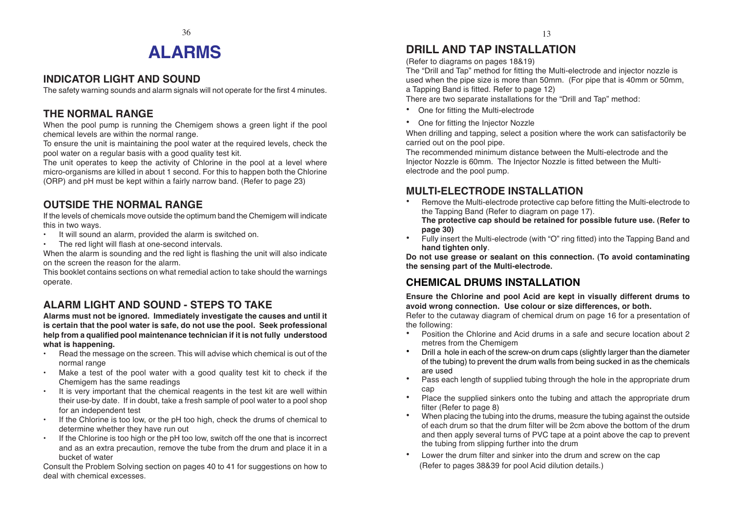### $36$  13 **ALARMS**

#### **INDICATOR LIGHT AND SOUND**

The safety warning sounds and alarm signals will not operate for the first 4 minutes.

### **THE NORMAL RANGE**

When the pool pump is running the Chemigem shows a green light if the pool chemical levels are within the normal range.

To ensure the unit is maintaining the pool water at the required levels, check the pool water on a regular basis with a good quality test kit.

The unit operates to keep the activity of Chlorine in the pool at a level where micro-organisms are killed in about 1 second. For this to happen both the Chlorine (ORP) and pH must be kept within a fairly narrow band. (Refer to page 23)

### **OUTSIDE THE NORMAL RANGE**

If the levels of chemicals move outside the optimum band the Chemigem will indicate this in two ways.

- •It will sound an alarm, provided the alarm is switched on.
- The red light will flash at one-second intervals.

When the alarm is sounding and the red light is flashing the unit will also indicate on the screen the reason for the alarm.

This booklet contains sections on what remedial action to take should the warnings operate.

### **ALARM LIGHT AND SOUND - STEPS TO TAKE**

**Alarms must not be ignored. Immediately investigate the causes and until it is certain that the pool water is safe, do not use the pool. Seek professional help from a qualified pool maintenance technician if it is not fully understood what is happening.**

- • Read the message on the screen. This will advise which chemical is out of the normal range
- Make a test of the pool water with a good quality test kit to check if the Chemigem has the same readings
- • It is very important that the chemical reagents in the test kit are well within their use-by date. If in doubt, take a fresh sample of pool water to a pool shop for an independent test
- • If the Chlorine is too low, or the pH too high, check the drums of chemical to determine whether they have run out
- If the Chlorine is too high or the pH too low, switch off the one that is incorrect and as an extra precaution, remove the tube from the drum and place it in a bucket of water

Consult the Problem Solving section on pages 40 to 41 for suggestions on how to deal with chemical excesses.

### **DRILL AND TAP INSTALLATION**

(Refer to diagrams on pages 18&19)

The "Drill and Tap" method for fitting the Multi-electrode and injector nozzle is used when the pipe size is more than 50mm. (For pipe that is 40mm or 50mm, a Tapping Band is fitted. Refer to page 12)

There are two separate installations for the "Drill and Tap" method:

- One for fitting the Multi-electrode
- One for fitting the Injector Nozzle

When drilling and tapping, select a position where the work can satisfactorily be carried out on the pool pipe.

The recommended minimum distance between the Multi-electrode and the Injector Nozzle is 60mm. The Injector Nozzle is fitted between the Multielectrode and the pool pump.

### **MULTI-ELECTRODE INSTALLATION**

- • Remove the Multi-electrode protective cap before fitting the Multi-electrode to the Tapping Band (Refer to diagram on page 17). **The protective cap should be retained for possible future use. (Refer to**
- **page 30)** • Fully insert the Multi-electrode (with "O" ring fitted) into the Tapping Band and **hand tighten only**.

**Do not use grease or sealant on this connection. (To avoid contaminating the sensing part of the Multi-electrode.**

### **CHEMICAL DRUMS INSTALLATION**

**Ensure the Chlorine and pool Acid are kept in visually different drums to avoid wrong connection. Use colour or size differences, or both.**

Refer to the cutaway diagram of chemical drum on page 16 for a presentation of the following:

- • Position the Chlorine and Acid drums in a safe and secure location about 2 metres from the Chemigem
- • Drill a hole in each of the screw-on drum caps (slightly larger than the diameter of the tubing) to prevent the drum walls from being sucked in as the chemicals are used
- • Pass each length of supplied tubing through the hole in the appropriate drum cap
- • Place the supplied sinkers onto the tubing and attach the appropriate drum filter (Refer to page 8)
- • When placing the tubing into the drums, measure the tubing against the outside of each drum so that the drum filter will be 2cm above the bottom of the drum and then apply several turns of PVC tape at a point above the cap to prevent the tubing from slipping further into the drum
- • Lower the drum filter and sinker into the drum and screw on the cap (Refer to pages 38&39 for pool Acid dilution details.)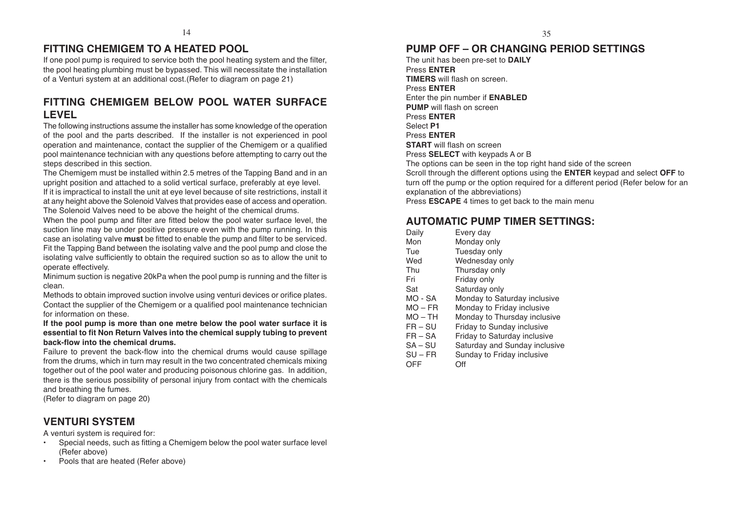#### **FITTING CHEMIGEM TO A HEATED POOL**

If one pool pump is required to service both the pool heating system and the filter, the pool heating plumbing must be bypassed. This will necessitate the installation of a Venturi system at an additional cost.(Refer to diagram on page 21)

#### **FITTING CHEMIGEM BELOW POOL WATER SURFACE LEVEL**

The following instructions assume the installer has some knowledge of the operation of the pool and the parts described. If the installer is not experienced in pool operation and maintenance, contact the supplier of the Chemigem or a qualified pool maintenance technician with any questions before attempting to carry out the steps described in this section.

The Chemigem must be installed within 2.5 metres of the Tapping Band and in an upright position and attached to a solid vertical surface, preferably at eye level.

If it is impractical to install the unit at eye level because of site restrictions, install it at any height above the Solenoid Valves that provides ease of access and operation. The Solenoid Valves need to be above the height of the chemical drums.

When the pool pump and filter are fitted below the pool water surface level, the suction line may be under positive pressure even with the pump running. In this case an isolating valve **must** be fitted to enable the pump and filter to be serviced. Fit the Tapping Band between the isolating valve and the pool pump and close the isolating valve sufficiently to obtain the required suction so as to allow the unit to operate effectively.

Minimum suction is negative 20kPa when the pool pump is running and the filter is clean.

Methods to obtain improved suction involve using venturi devices or orifice plates. Contact the supplier of the Chemigem or a qualified pool maintenance technician for information on these.

#### **If the pool pump is more than one metre below the pool water surface it is essential to fit Non Return Valves into the chemical supply tubing to prevent back-flow into the chemical drums.**

Failure to prevent the back-flow into the chemical drums would cause spillage from the drums, which in turn may result in the two concentrated chemicals mixing together out of the pool water and producing poisonous chlorine gas. In addition, there is the serious possibility of personal injury from contact with the chemicals and breathing the fumes.

(Refer to diagram on page 20)

#### **VENTURI SYSTEM**

A venturi system is required for:

- • Special needs, such as fitting a Chemigem below the pool water surface level (Refer above)
- •Pools that are heated (Refer above)

#### **PUMP OFF – OR CHANGING PERIOD SETTINGS**

The unit has been pre-set to **DAILY** Press **ENTER TIMERS** will flash on screen. Press **ENTER** Enter the pin number if **ENABLED PUMP** will flash on screen Press **ENTER** Select **P1** Press **ENTER START** will flash on screen Press **SELECT** with keypads A or B The options can be seen in the top right hand side of the screen Scroll through the different options using the **ENTER** keypad and select **OFF** to turn off the pump or the option required for a different period (Refer below for an explanation of the abbreviations) Press **ESCAPE** 4 times to get back to the main menu

#### **AUTOMATIC PUMP TIMER SETTINGS:**

| Daily     | Every day                     |
|-----------|-------------------------------|
| Mon       | Monday only                   |
| Tue       | Tuesday only                  |
| Wed       | Wednesday only                |
| Thu       | Thursday only                 |
| Fri       | Friday only                   |
| Sat       | Saturday only                 |
| $MO - SA$ | Monday to Saturday inclusive  |
| $MO$ – FR | Monday to Friday inclusive    |
| $MO - TH$ | Monday to Thursday inclusive  |
| $FR - SU$ | Friday to Sunday inclusive    |
| $FR - SA$ | Friday to Saturday inclusive  |
| $SA-SU$   | Saturday and Sunday inclusive |
| SU – FR   | Sunday to Friday inclusive    |

OFF Off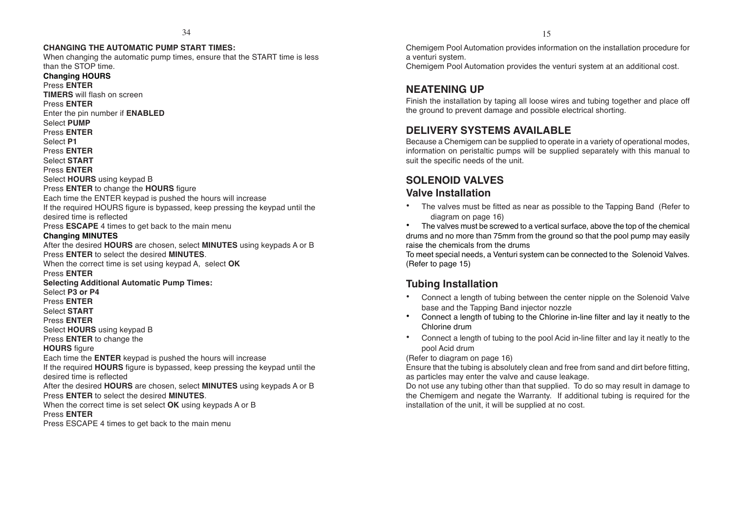#### **CHANGING THE AUTOMATIC PUMP START TIMES:**

When changing the automatic pump times, ensure that the START time is less than the STOP time.

**Changing HOURS** Press **ENTER TIMERS** will flash on screen Press **ENTER** Enter the pin number if **ENABLED** Select **PUMP** Press **ENTER** Select **P1** Press **ENTER** Select **START** Press **ENTER** Select **HOURS** using keypad B Press **ENTER** to change the **HOURS** figure Each time the ENTER keypad is pushed the hours will increase If the required HOURS figure is bypassed, keep pressing the keypad until the desired time is reflected Press **ESCAPE** 4 times to get back to the main menu **Changing MINUTES** After the desired **HOURS** are chosen, select **MINUTES** using keypads A or B Press **ENTER** to select the desired **MINUTES**. When the correct time is set using keypad A, select **OK** Press **ENTER Selecting Additional Automatic Pump Times:** Select **P3 or P4** Press **ENTER** Select **START** Press **ENTER** Select **HOURS** using keypad B Press **ENTER** to change the **HOURS** figure Each time the **ENTER** keypad is pushed the hours will increase If the required **HOURS** figure is bypassed, keep pressing the keypad until the desired time is reflected After the desired **HOURS** are chosen, select **MINUTES** using keypads A or B Press **ENTER** to select the desired **MINUTES**. When the correct time is set select **OK** using keypads A or B Press **ENTER**

Press ESCAPE 4 times to get back to the main menu

Chemigem Pool Automation provides information on the installation procedure for a venturi system.

Chemigem Pool Automation provides the venturi system at an additional cost.

#### **NEATENING UP**

Finish the installation by taping all loose wires and tubing together and place off the ground to prevent damage and possible electrical shorting.

#### **DELIVERY SYSTEMS AVAILABLE**

Because a Chemigem can be supplied to operate in a variety of operational modes, information on peristaltic pumps will be supplied separately with this manual to suit the specific needs of the unit.

#### **SOLENOID VALVES**

#### **Valve Installation**

• The valves must be fitted as near as possible to the Tapping Band (Refer to diagram on page 16)

• The valves must be screwed to a vertical surface, above the top of the chemical drums and no more than 75mm from the ground so that the pool pump may easily raise the chemicals from the drums

To meet special needs, a Venturi system can be connected to the Solenoid Valves. (Refer to page 15)

#### **Tubing Installation**

- Connect a length of tubing between the center nipple on the Solenoid Valve base and the Tapping Band injector nozzle
- • Connect a length of tubing to the Chlorine in-line filter and lay it neatly to the Chlorine drum
- • Connect a length of tubing to the pool Acid in-line filter and lay it neatly to the pool Acid drum

(Refer to diagram on page 16)

Ensure that the tubing is absolutely clean and free from sand and dirt before fitting, as particles may enter the valve and cause leakage.

Do not use any tubing other than that supplied. To do so may result in damage to the Chemigem and negate the Warranty. If additional tubing is required for the installation of the unit, it will be supplied at no cost.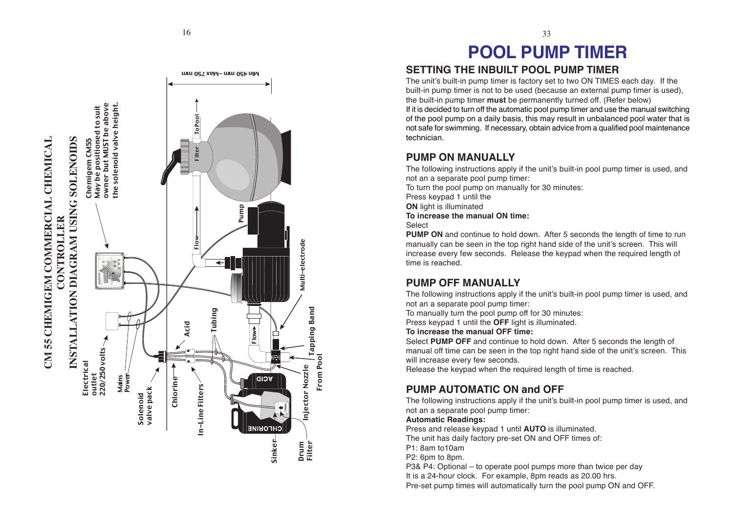

# **POOL PUMP TIMER**

33

#### **SETTING THE INBUILT POOL PUMP TIMER**

The unit's built-in pump timer is factory set to two ON TIMES each day. If the built-in pump timer is not to be used (because an external pump timer is used), the built-in pump timer **must** be permanently turned off. (Refer below) If it is decided to turn off the automatic pool pump timer and use the manual switching of the pool pump on a daily basis, this may result in unbalanced pool water that is not safe for swimming. If necessary, obtain advice from a qualified pool maintenance technician.

#### **PUMP ON MANUALLY**

The following instructions apply if the unit's built-in pool pump timer is used, and not an a separate pool pump timer:

To turn the pool pump on manually for 30 minutes:

Press keypad 1 until the

**ON** light is illuminated

**To increase the manual ON time:**

#### Select

From Pool

From Pool

Filter Tapping Band

njector Nozzle

Injector Nozzle  $\int_{-\infty}^{\infty}$  Multi-electrode

**Tapping Band** 

Multi-electrode

Drum

**PUMP ON** and continue to hold down. After 5 seconds the length of time to run manually can be seen in the top right hand side of the unit's screen. This will increase every few seconds. Release the keypad when the required length of time is reached.

### **PUMP OFF MANUALLY**

The following instructions apply if the unit's built-in pool pump timer is used, and not an a separate pool pump timer:

To manually turn the pool pump off for 30 minutes:

Press keypad 1 until the **OFF** light is illuminated.

#### **To increase the manual OFF time:**

Select **PUMP OFF** and continue to hold down. After 5 seconds the length of manual off time can be seen in the top right hand side of the unit's screen. This will increase every few seconds.

Release the keypad when the required length of time is reached.

### **PUMP AUTOMATIC ON and OFF**

The following instructions apply if the unit's built-in pool pump timer is used, and not an a separate pool pump timer:

#### **Automatic Readings:**

Press and release keypad 1 until **AUTO** is illuminated.

The unit has daily factory pre-set ON and OFF times of:

P1: 8am to10am

P2: 6pm to 8pm.

P3& P4: Optional – to operate pool pumps more than twice per day It is a 24-hour clock. For example, 8pm reads as 20.00 hrs.

Pre-set pump times will automatically turn the pool pump ON and OFF.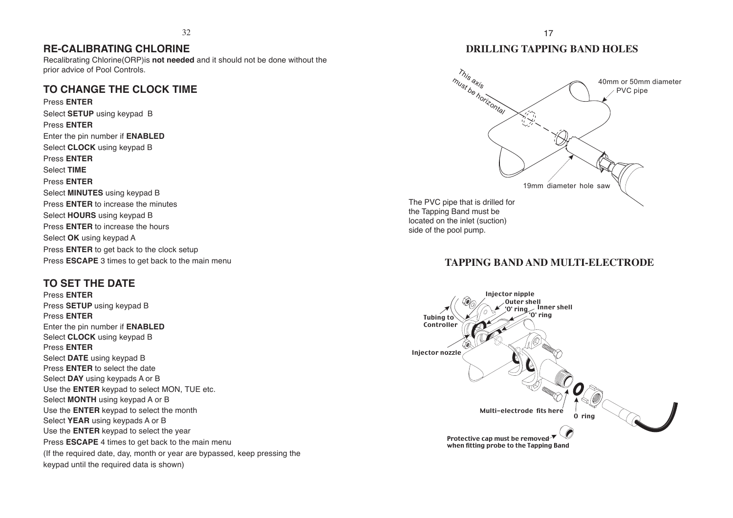#### **RE-CALIBRATING CHLORINE**

Recalibrating Chlorine(ORP)is **not needed** and it should not be done without the prior advice of Pool Controls.

#### **TO CHANGE THE CLOCK TIME**

Press **ENTER** Select **SETUP** using keypad B Press **ENTER** Enter the pin number if **ENABLED** Select **CLOCK** using keypad B Press **ENTER** Select **TIME** Press **ENTER** Select **MINUTES** using keypad B Press **ENTER** to increase the minutes Select **HOURS** using keypad B Press **ENTER** to increase the hours Select **OK** using keypad A Press **ENTER** to get back to the clock setup Press **ESCAPE** 3 times to get back to the main menu

#### **TO SET THE DATE**

Press **ENTER** Press **SETUP** using keypad B Press **ENTER** Enter the pin number if **ENABLED** Select **CLOCK** using keypad B Press **ENTER** Select **DATE** using keypad B Press **ENTER** to select the date Select **DAY** using keypads A or B Use the **ENTER** keypad to select MON, TUE etc. Select **MONTH** using keypad A or B Use the **ENTER** keypad to select the month Select **YEAR** using keypads A or B Use the **ENTER** keypad to select the year Press **ESCAPE** 4 times to get back to the main menu (If the required date, day, month or year are bypassed, keep pressing the keypad until the required data is shown)

#### **DRILLING TAPPING BAND HOLES**



#### **TAPPING BAND AND MULTI-ELECTRODE**

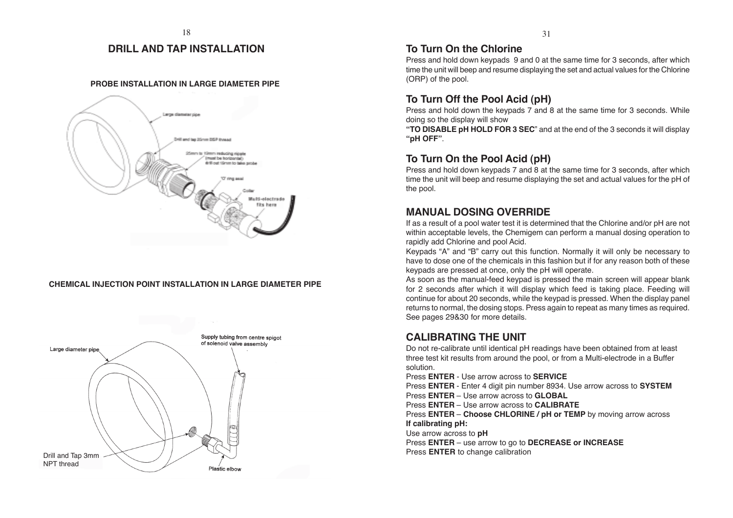#### **DRILL AND TAP INSTALLATION**

#### **PROBE INSTALLATION IN LARGE DIAMETER PIPE**



#### **CHEMICAL INJECTION POINT INSTALLATION IN LARGE DIAMETER PIPE**



#### **To Turn On the Chlorine**

Press and hold down keypads 9 and 0 at the same time for 3 seconds, after which time the unit will beep and resume displaying the set and actual values for the Chlorine (ORP) of the pool.

#### **To Turn Off the Pool Acid (pH)**

Press and hold down the keypads 7 and 8 at the same time for 3 seconds. While doing so the display will show

**"TO DISABLE pH HOLD FOR 3 SEC**" and at the end of the 3 seconds it will display **"pH OFF"**.

#### **To Turn On the Pool Acid (pH)**

Press and hold down keypads 7 and 8 at the same time for 3 seconds, after which time the unit will beep and resume displaying the set and actual values for the pH of the pool.

#### **MANUAL DOSING OVERRIDE**

If as a result of a pool water test it is determined that the Chlorine and/or pH are not within acceptable levels, the Chemigem can perform a manual dosing operation to rapidly add Chlorine and pool Acid.

Keypads "A" and "B" carry out this function. Normally it will only be necessary to have to dose one of the chemicals in this fashion but if for any reason both of these keypads are pressed at once, only the pH will operate.

As soon as the manual-feed keypad is pressed the main screen will appear blank for 2 seconds after which it will display which feed is taking place. Feeding will continue for about 20 seconds, while the keypad is pressed. When the display panel returns to normal, the dosing stops. Press again to repeat as many times as required. See pages 29&30 for more details.

#### **CALIBRATING THE UNIT**

Do not re-calibrate until identical pH readings have been obtained from at least three test kit results from around the pool, or from a Multi-electrode in a Buffer solution.

Press **ENTER** - Use arrow across to **SERVICE**

Press **ENTER** - Enter 4 digit pin number 8934. Use arrow across to **SYSTEM**

Press **ENTER** – Use arrow across to **GLOBAL**

Press **ENTER** – Use arrow across to **CALIBRATE**

Press **ENTER** – **Choose CHLORINE / pH or TEMP** by moving arrow across **If calibrating pH:**

Use arrow across to **pH**

Press **ENTER** – use arrow to go to **DECREASE or INCREASE** Press **ENTER** to change calibration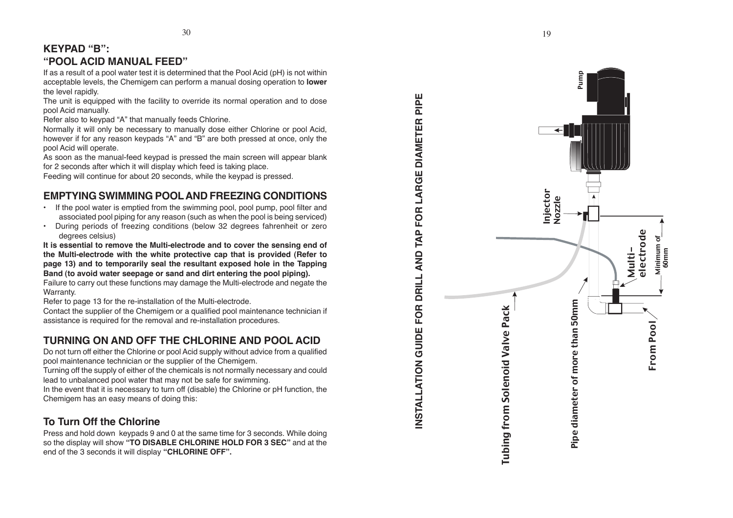### **KEYPAD "B": "POOL ACID MANUAL FEED"**

If as a result of a pool water test it is determined that the Pool Acid (pH) is not within acceptable levels, the Chemigem can perform a manual dosing operation to **lower** the level rapidly.

The unit is equipped with the facility to override its normal operation and to dose pool Acid manually.

Refer also to keypad "A" that manually feeds Chlorine.

Normally it will only be necessary to manually dose either Chlorine or pool Acid, however if for any reason keypads "A" and "B" are both pressed at once, only the pool Acid will operate.

As soon as the manual-feed keypad is pressed the main screen will appear blank for 2 seconds after which it will display which feed is taking place.

Feeding will continue for about 20 seconds, while the keypad is pressed.

### **EMPTYING SWIMMING POOL AND FREEZING CONDITIONS**

- If the pool water is emptied from the swimming pool, pool pump, pool filter and associated pool piping for any reason (such as when the pool is being serviced)
- • During periods of freezing conditions (below 32 degrees fahrenheit or zero degrees celsius)

**It is essential to remove the Multi-electrode and to cover the sensing end of the Multi-electrode with the white protective cap that is provided (Refer to page 13) and to temporarily seal the resultant exposed hole in the Tapping Band (to avoid water seepage or sand and dirt entering the pool piping).**

Failure to carry out these functions may damage the Multi-electrode and negate the Warranty.

Refer to page 13 for the re-installation of the Multi-electrode.

Contact the supplier of the Chemigem or a qualified pool maintenance technician if assistance is required for the removal and re-installation procedures.

### **TURNING ON AND OFF THE CHLORINE AND POOL ACID**

Do not turn off either the Chlorine or pool Acid supply without advice from a qualified pool maintenance technician or the supplier of the Chemigem.

Turning off the supply of either of the chemicals is not normally necessary and could lead to unbalanced pool water that may not be safe for swimming.

In the event that it is necessary to turn off (disable) the Chlorine or pH function, the Chemigem has an easy means of doing this:

### **To Turn Off the Chlorine**

Press and hold down keypads 9 and 0 at the same time for 3 seconds. While doing so the display will show **"TO DISABLE CHLORINE HOLD FOR 3 SEC"** and at the end of the 3 seconds it will display **"CHLORINE OFF".**

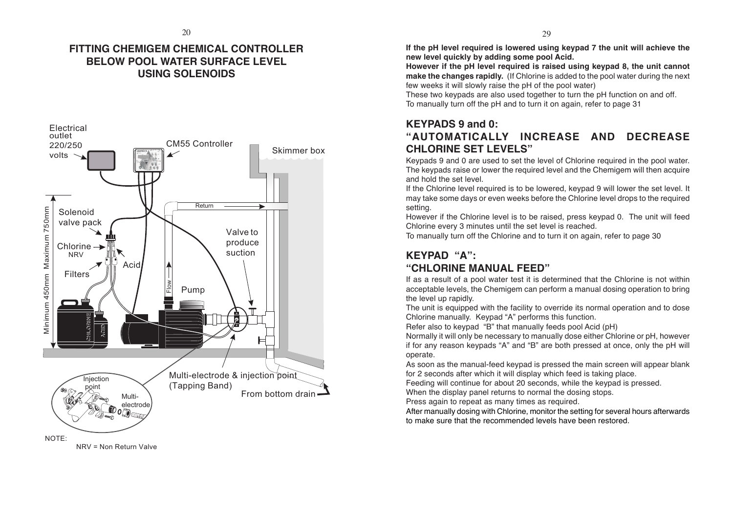#### **FITTING CHEMIGEM CHEMICAL CONTROLLER BELOW POOL WATER SURFACE LEVEL USING SOLENOIDS**



NRV = Non Return Valve

**If the pH level required is lowered using keypad 7 the unit will achieve the new level quickly by adding some pool Acid.**

**However if the pH level required is raised using keypad 8, the unit cannot make the changes rapidly.** (If Chlorine is added to the pool water during the next few weeks it will slowly raise the pH of the pool water)

These two keypads are also used together to turn the pH function on and off. To manually turn off the pH and to turn it on again, refer to page 31

#### **KEYPADS 9 and 0: "AUTOMATICALLY INCREASE AND DECREASE CHLORINE SET LEVELS"**

Keypads 9 and 0 are used to set the level of Chlorine required in the pool water. The keypads raise or lower the required level and the Chemigem will then acquire and hold the set level.

If the Chlorine level required is to be lowered, keypad 9 will lower the set level. It may take some days or even weeks before the Chlorine level drops to the required setting.

However if the Chlorine level is to be raised, press keypad 0. The unit will feed Chlorine every 3 minutes until the set level is reached.

To manually turn off the Chlorine and to turn it on again, refer to page 30

## **KEYPAD "A":**

#### **"CHLORINE MANUAL FEED"**

If as a result of a pool water test it is determined that the Chlorine is not within acceptable levels, the Chemigem can perform a manual dosing operation to bring the level up rapidly.

The unit is equipped with the facility to override its normal operation and to dose Chlorine manually. Keypad "A" performs this function.

Refer also to keypad "B" that manually feeds pool Acid (pH)

Normally it will only be necessary to manually dose either Chlorine or pH, however if for any reason keypads "A" and "B" are both pressed at once, only the pH will operate.

As soon as the manual-feed keypad is pressed the main screen will appear blank for 2 seconds after which it will display which feed is taking place.

Feeding will continue for about 20 seconds, while the keypad is pressed.

When the display panel returns to normal the dosing stops.

Press again to repeat as many times as required.

After manually dosing with Chlorine, monitor the setting for several hours afterwards to make sure that the recommended levels have been restored.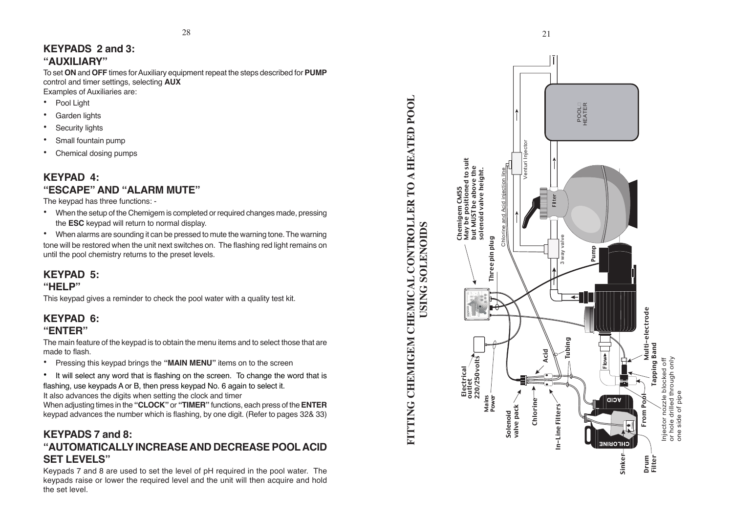#### **KEYPADS 2 and 3: "AUXILIARY"**

To set **ON** and **OFF** times for Auxiliary equipment repeat the steps described for **PUMP** control and timer settings, selecting **AUX** Examples of Auxiliaries are:

- •Pool Light
- •Garden lights
- •Security lights
- •Small fountain pump
- •Chemical dosing pumps

#### **KEYPAD 4: "ESCAPE" AND "ALARM MUTE"**

The keypad has three functions: -

• When the setup of the Chemigem is completed or required changes made, pressing the **ESC** keypad will return to normal display.

• When alarms are sounding it can be pressed to mute the warning tone. The warning tone will be restored when the unit next switches on. The flashing red light remains on until the pool chemistry returns to the preset levels.

### **KEYPAD 5:**

#### **"HELP"**

This keypad gives a reminder to check the pool water with a quality test kit.

#### **KEYPAD 6: "ENTER"**

The main feature of the keypad is to obtain the menu items and to select those that are made to flash.

- •Pressing this keypad brings the **"MAIN MENU"** items on to the screen
- •It will select any word that is flashing on the screen. To change the word that is flashing, use keypads A or B, then press keypad No. 6 again to select it.

It also advances the digits when setting the clock and timer

When adjusting times in the **"CLOCK"** or **"TIMER"** functions, each press of the **ENTER** keypad advances the number which is flashing, by one digit. (Refer to pages 32& 33)

#### **KEYPADS 7 and 8: "AUTOMATICALLY INCREASE AND DECREASE POOL ACID SET LEVELS"**

Keypads 7 and 8 are used to set the level of pH required in the pool water. The keypads raise or lower the required level and the unit will then acquire and hold the set level.



**FITTING CHEMIGEM CHEMICAL CONTROLLER TO A HEATED POOL**

FITTING CHEMIGEM CHEMICAL CONTROLLER TO A HEATED POOL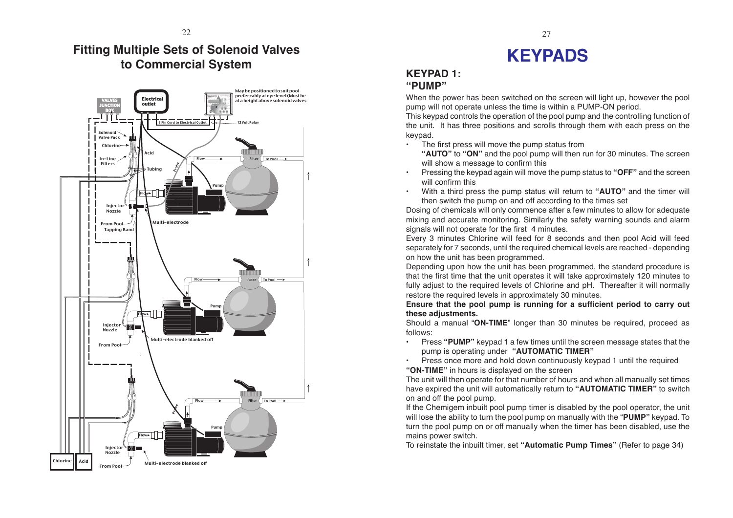### **Fitting Multiple Sets of Solenoid Valves to Commercial System**



# **KEYPADS**

#### **KEYPAD 1: "PUMP"**

•

When the power has been switched on the screen will light up, however the pool pump will not operate unless the time is within a PUMP-ON period.

This keypad controls the operation of the pool pump and the controlling function of the unit. It has three positions and scrolls through them with each press on the keypad.

•The first press will move the pump status from

**"AUTO"** to **"ON"** and the pool pump will then run for 30 minutes. The screen will show a message to confirm this

- Pressing the keypad again will move the pump status to **"OFF"** and the screen will confirm this
- • With a third press the pump status will return to **"AUTO"** and the timer will then switch the pump on and off according to the times set

Dosing of chemicals will only commence after a few minutes to allow for adequate mixing and accurate monitoring. Similarly the safety warning sounds and alarm signals will not operate for the first 4 minutes.

Every 3 minutes Chlorine will feed for 8 seconds and then pool Acid will feed separately for 7 seconds, until the required chemical levels are reached - depending on how the unit has been programmed.

Depending upon how the unit has been programmed, the standard procedure is that the first time that the unit operates it will take approximately 120 minutes to fully adjust to the required levels of Chlorine and pH. Thereafter it will normally restore the required levels in approximately 30 minutes.

**Ensure that the pool pump is running for a sufficient period to carry out these adjustments.**

Should a manual "**ON-TIME**" longer than 30 minutes be required, proceed as follows:

• Press **"PUMP"** keypad 1 a few times until the screen message states that the pump is operating under **"AUTOMATIC TIMER"**

•Press once more and hold down continuously keypad 1 until the required

**"ON-TIME"** in hours is displayed on the screen

The unit will then operate for that number of hours and when all manually set times have expired the unit will automatically return to **"AUTOMATIC TIMER"** to switch on and off the pool pump.

If the Chemigem inbuilt pool pump timer is disabled by the pool operator, the unit will lose the ability to turn the pool pump on manually with the "**PUMP"** keypad. To turn the pool pump on or off manually when the timer has been disabled, use the mains power switch.

To reinstate the inbuilt timer, set **"Automatic Pump Times"** (Refer to page 34)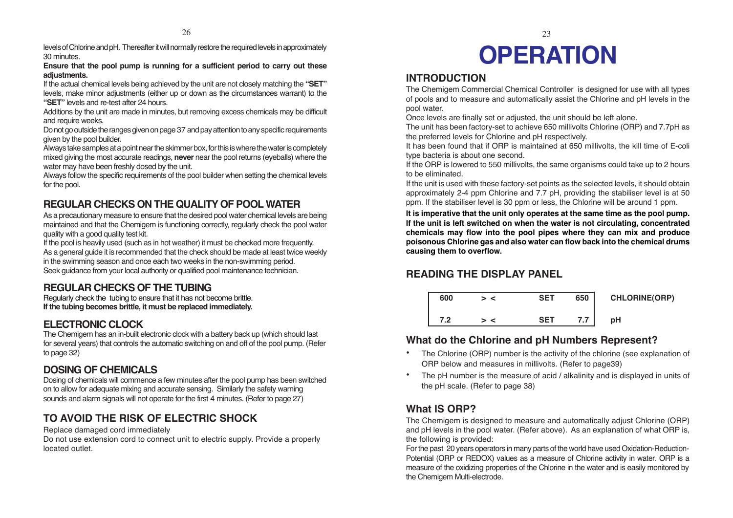levels of Chlorine and pH. Thereafter it will normally restore the required levels in approximately 30 minutes.

**Ensure that the pool pump is running for a sufficient period to carry out these adjustments.**

If the actual chemical levels being achieved by the unit are not closely matching the **"SET"** levels, make minor adjustments (either up or down as the circumstances warrant) to the **"SET"** levels and re-test after 24 hours.

Additions by the unit are made in minutes, but removing excess chemicals may be difficult and require weeks.

Do not go outside the ranges given on page 37 and pay attention to any specific requirements given by the pool builder.

Always take samples at a point near the skimmer box, for this is where the water is completely mixed giving the most accurate readings, **never** near the pool returns (eyeballs) where the water may have been freshly dosed by the unit.

Always follow the specific requirements of the pool builder when setting the chemical levels for the pool.

### **REGULAR CHECKS ON THE QUALITY OF POOL WATER**

As a precautionary measure to ensure that the desired pool water chemical levels are being maintained and that the Chemigem is functioning correctly, regularly check the pool water quality with a good quality test kit.

If the pool is heavily used (such as in hot weather) it must be checked more frequently. As a general guide it is recommended that the check should be made at least twice weekly in the swimming season and once each two weeks in the non-swimming period. Seek guidance from your local authority or qualified pool maintenance technician.

### **REGULAR CHECKS OF THE TUBING**

Regularly check the tubing to ensure that it has not become brittle. **If the tubing becomes brittle, it must be replaced immediately.**

### **ELECTRONIC CLOCK**

The Chemigem has an in-built electronic clock with a battery back up (which should last for several years) that controls the automatic switching on and off of the pool pump. (Refer to page 32)

### **DOSING OF CHEMICALS**

Dosing of chemicals will commence a few minutes after the pool pump has been switched on to allow for adequate mixing and accurate sensing. Similarly the safety warning sounds and alarm signals will not operate for the first 4 minutes. (Refer to page 27)

### **TO AVOID THE RISK OF ELECTRIC SHOCK**

#### Replace damaged cord immediately

Do not use extension cord to connect unit to electric supply. Provide a properly located outlet.

# $26$  23 **OPERATION**

#### **INTRODUCTION**

The Chemigem Commercial Chemical Controller is designed for use with all types of pools and to measure and automatically assist the Chlorine and pH levels in the pool water.

Once levels are finally set or adjusted, the unit should be left alone.

The unit has been factory-set to achieve 650 millivolts Chlorine (ORP) and 7.7pH as the preferred levels for Chlorine and pH respectively.

It has been found that if ORP is maintained at 650 millivolts, the kill time of E-coli type bacteria is about one second.

If the ORP is lowered to 550 millivolts, the same organisms could take up to 2 hours to be eliminated.

If the unit is used with these factory-set points as the selected levels, it should obtain approximately 2-4 ppm Chlorine and 7.7 pH, providing the stabiliser level is at 50 ppm. If the stabiliser level is 30 ppm or less, the Chlorine will be around 1 ppm.

**It is imperative that the unit only operates at the same time as the pool pump. If the unit is left switched on when the water is not circulating, concentrated chemicals may flow into the pool pipes where they can mix and produce poisonous Chlorine gas and also water can flow back into the chemical drums causing them to overflow.**

### **READING THE DISPLAY PANEL**

| 600 | $\epsilon$ | <b>SET</b> | 650 | <b>CHLORINE(ORP)</b> |
|-----|------------|------------|-----|----------------------|
| 7.2 |            | <b>SET</b> | 7.7 | рH                   |

#### **What do the Chlorine and pH Numbers Represent?**

- • The Chlorine (ORP) number is the activity of the chlorine (see explanation of ORP below and measures in millivolts. (Refer to page39)
- • The pH number is the measure of acid / alkalinity and is displayed in units of the pH scale. (Refer to page 38)

#### **What IS ORP?**

The Chemigem is designed to measure and automatically adjust Chlorine (ORP) and pH levels in the pool water. (Refer above). As an explanation of what ORP is, the following is provided:

For the past 20 years operators in many parts of the world have used Oxidation-Reduction-Potential (ORP or REDOX) values as a measure of Chlorine activity in water. ORP is a measure of the oxidizing properties of the Chlorine in the water and is easily monitored by the Chemigem Multi-electrode.